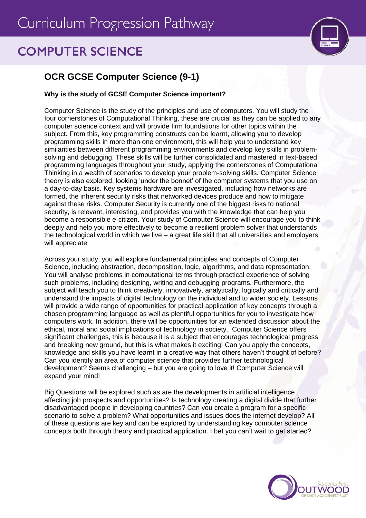# Curriculum Progression Pathway

## **COMPUTER SCIENCE**



### **OCR GCSE Computer Science (9-1)**

#### **Why is the study of GCSE Computer Science important?**

Computer Science is the study of the principles and use of computers. You will study the four cornerstones of Computational Thinking, these are crucial as they can be applied to any computer science context and will provide firm foundations for other topics within the subject. From this, key programming constructs can be learnt, allowing you to develop programming skills in more than one environment, this will help you to understand key similarities between different programming environments and develop key skills in problemsolving and debugging. These skills will be further consolidated and mastered in text-based programming languages throughout your study, applying the cornerstones of Computational Thinking in a wealth of scenarios to develop your problem-solving skills. Computer Science theory is also explored, looking 'under the bonnet' of the computer systems that you use on a day-to-day basis. Key systems hardware are investigated, including how networks are formed, the inherent security risks that networked devices produce and how to mitigate against these risks. Computer Security is currently one of the biggest risks to national security, is relevant, interesting, and provides you with the knowledge that can help you become a responsible e-citizen. Your study of Computer Science will encourage you to think deeply and help you more effectively to become a resilient problem solver that understands the technological world in which we live  $-$  a great life skill that all universities and employers will appreciate.

Across your study, you will explore fundamental principles and concepts of Computer Science, including abstraction, decomposition, logic, algorithms, and data representation. You will analyse problems in computational terms through practical experience of solving such problems, including designing, writing and debugging programs. Furthermore, the subject will teach you to think creatively, innovatively, analytically, logically and critically and understand the impacts of digital technology on the individual and to wider society. Lessons will provide a wide range of opportunities for practical application of key concepts through a chosen programming language as well as plentiful opportunities for you to investigate how computers work. In addition, there will be opportunities for an extended discussion about the ethical, moral and social implications of technology in society. Computer Science offers significant challenges, this is because it is a subject that encourages technological progress and breaking new ground, but this is what makes it exciting! Can you apply the concepts, knowledge and skills you have learnt in a creative way that others haven't thought of before? Can you identify an area of computer science that provides further technological development? Seems challenging – but you are going to love it! Computer Science will expand your mind!

Big Questions will be explored such as are the developments in artificial intelligence affecting job prospects and opportunities? Is technology creating a digital divide that further disadvantaged people in developing countries? Can you create a program for a specific scenario to solve a problem? What opportunities and issues does the internet develop? All of these questions are key and can be explored by understanding key computer science concepts both through theory and practical application. I bet you can't wait to get started?

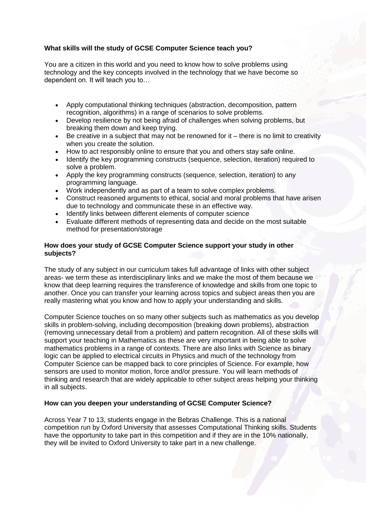#### **What skills will the study of GCSE Computer Science teach you?**

You are a citizen in this world and you need to know how to solve problems using technology and the key concepts involved in the technology that we have become so dependent on. It will teach you to…

- Apply computational thinking techniques (abstraction, decomposition, pattern recognition, algorithms) in a range of scenarios to solve problems.
- Develop resilience by not being afraid of challenges when solving problems, but breaking them down and keep trying.
- Be creative in a subject that may not be renowned for  $it$  there is no limit to creativity when you create the solution.
- How to act responsibly online to ensure that you and others stay safe online.
- Identify the key programming constructs (sequence, selection, iteration) required to solve a problem.
- Apply the key programming constructs (sequence, selection, iteration) to any programming language.
- Work independently and as part of a team to solve complex problems.
- Construct reasoned arguments to ethical, social and moral problems that have arisen due to technology and communicate these in an effective way.
- Identify links between different elements of computer science
- Evaluate different methods of representing data and decide on the most suitable method for presentation/storage

#### **How does your study of GCSE Computer Science support your study in other subjects?**

The study of any subject in our curriculum takes full advantage of links with other subject areas- we term these as interdisciplinary links and we make the most of them because we know that deep learning requires the transference of knowledge and skills from one topic to another. Once you can transfer your learning across topics and subject areas then you are really mastering what you know and how to apply your understanding and skills.

Computer Science touches on so many other subjects such as mathematics as you develop skills in problem-solving, including decomposition (breaking down problems), abstraction (removing unnecessary detail from a problem) and pattern recognition. All of these skills will support your teaching in Mathematics as these are very important in being able to solve mathematics problems in a range of contexts. There are also links with Science as binary logic can be applied to electrical circuits in Physics and much of the technology from Computer Science can be mapped back to core principles of Science. For example, how sensors are used to monitor motion, force and/or pressure. You will learn methods of thinking and research that are widely applicable to other subject areas helping your thinking in all subjects.

#### **How can you deepen your understanding of GCSE Computer Science?**

Across Year 7 to 13, students engage in the Bebras Challenge. This is a national competition run by Oxford University that assesses Computational Thinking skills. Students have the opportunity to take part in this competition and if they are in the 10% nationally, they will be invited to Oxford University to take part in a new challenge.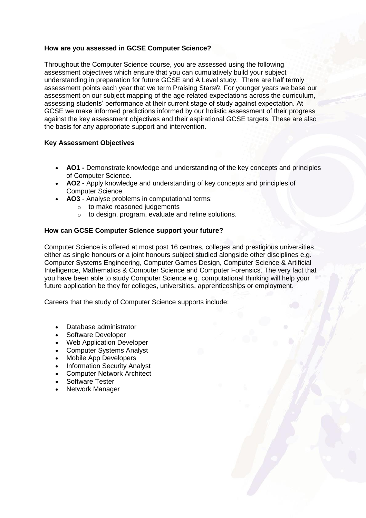#### **How are you assessed in GCSE Computer Science?**

Throughout the Computer Science course, you are assessed using the following assessment objectives which ensure that you can cumulatively build your subject understanding in preparation for future GCSE and A Level study. There are half termly assessment points each year that we term Praising Stars©. For younger years we base our assessment on our subject mapping of the age-related expectations across the curriculum, assessing students' performance at their current stage of study against expectation. At GCSE we make informed predictions informed by our holistic assessment of their progress against the key assessment objectives and their aspirational GCSE targets. These are also the basis for any appropriate support and intervention.

#### **Key Assessment Objectives**

- **AO1 -** Demonstrate knowledge and understanding of the key concepts and principles of Computer Science.
- **AO2 -** Apply knowledge and understanding of key concepts and principles of Computer Science
- **AO3**  Analyse problems in computational terms:
	- o to make reasoned judgements
	- o to design, program, evaluate and refine solutions.

#### **How can GCSE Computer Science support your future?**

Computer Science is offered at most post 16 centres, colleges and prestigious universities either as single honours or a joint honours subject studied alongside other disciplines e.g. Computer Systems Engineering, Computer Games Design, Computer Science & Artificial Intelligence, Mathematics & Computer Science and Computer Forensics. The very fact that you have been able to study Computer Science e.g. computational thinking will help your future application be they for colleges, universities, apprenticeships or employment.

Careers that the study of Computer Science supports include:

- Database administrator
- Software Developer
- Web Application Developer
- Computer Systems Analyst
- Mobile App Developers
- Information Security Analyst
- Computer Network Architect
- Software Tester
- Network Manager